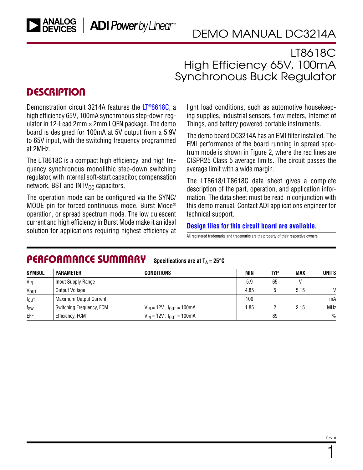## [DEMO MANUAL DC3214A](https://www.analog.com/DC3214A?doc=DC3214A.pdf)

### LT8618C High Efficiency 65V, 100mA Synchronous Buck Regulator

### **DESCRIPTION**

Demonstration circuit 3214A features the [LT®8618C](https://www.analog.com/LT8618C?doc=DC3214A.pdf), a high efficiency 65V, 100mA synchronous step-down regulator in 12-Lead  $2mm \times 2mm$  LQFN package. The demo board is designed for 100mA at 5V output from a 5.9V to 65V input, with the switching frequency programmed at 2MHz.

The LT8618C is a compact high efficiency, and high frequency synchronous monolithic step-down switching regulator, with internal soft-start capacitor, compensation network, BST and  $INTV_{CC}$  capacitors.

The operation mode can be configured via the SYNC/ MODE pin for forced continuous mode, Burst Mode® operation, or spread spectrum mode. The low quiescent current and high efficiency in Burst Mode make it an ideal solution for applications requiring highest efficiency at<br>All registered trademarks and trademarks are the property of their respective owners.

light load conditions, such as automotive housekeeping supplies, industrial sensors, flow meters, Internet of Things, and battery powered portable instruments.

The demo board DC3214A has an EMI filter installed. The EMI performance of the board running in spread spectrum mode is shown in [Figure 2,](#page-2-0) where the red lines are CISPR25 Class 5 average limits. The circuit passes the average limit with a wide margin.

The LT8618/LT8618C data sheet gives a complete description of the part, operation, and application information. The data sheet must be read in conjunction with this demo manual. Contact ADI applications engineer for technical support.

#### **[Design files for this circuit board are available](https://www.analog.com/en/design-center/evaluation-hardware-and-software/evaluation-boards-kits/DC3214A.html#eb-documentation?doc=DC3214A.pdf).**

#### PERFORMANCE SUMMARY **Specifications are at**  $T_A = 25^\circ C$

| <b>SYMBOL</b>          | <b>PARAMETER</b>         | <b>CONDITIONS</b>                 | <b>MIN</b> | <b>TYP</b> | <b>MAX</b> | <b>UNITS</b> |
|------------------------|--------------------------|-----------------------------------|------------|------------|------------|--------------|
| V <sub>IN</sub>        | Input Supply Range       |                                   | 5.9        | 65         |            |              |
| <b>V<sub>OUT</sub></b> | Output Voltage           |                                   | 4.85       |            | 5.15       |              |
| $I_{OUT}$              | Maximum Output Current   |                                   | 100        |            |            | mA           |
| $f_{SW}$               | Switching Frequency, FCM | $V_{IN}$ = 12V, $I_{OUT}$ = 100mA | 1.85       |            | 2.15       | <b>MHz</b>   |
| EFF                    | Efficiency, FCM          | $V_{IN}$ = 12V, $I_{OUT}$ = 100mA |            | 89         |            | $\%$         |

1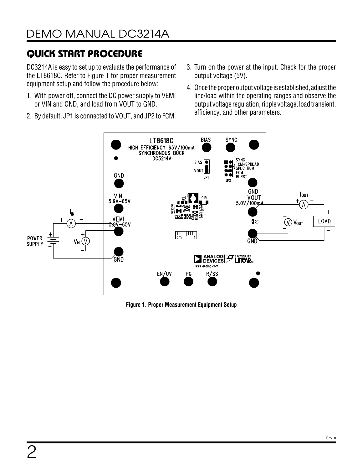# QUICK START PROCEDURE

DC3214A is easy to set up to evaluate the performance of the LT8618C. Refer to [Figure 1](#page-1-0) for proper measurement equipment setup and follow the procedure below:

- 1. With power off, connect the DC power supply to VEMI or VIN and GND, and load from VOUT to GND.
- 2. By default, JP1 is connected to VOUT, and JP2 to FCM.
- 3. Turn on the power at the input. Check for the proper output voltage (5V).
- 4. Once the proper output voltage is established, adjust the line/load within the operating ranges and observe the output voltage regulation, ripple voltage, load transient, efficiency, and other parameters.



<span id="page-1-0"></span>**Figure 1. Proper Measurement Equipment Setup**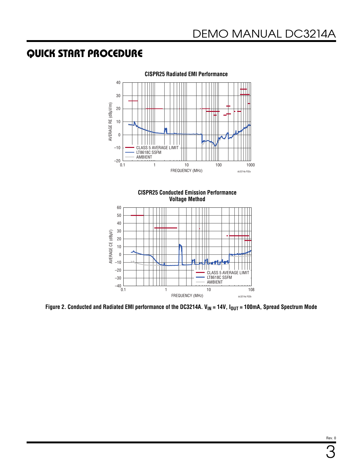### QUICK START PROCEDURE





<span id="page-2-0"></span>Figure 2. Conducted and Radiated EMI performance of the DC3214A. V<sub>IN</sub> = 14V, I<sub>OUT</sub> = 100mA, Spread Spectrum Mode

3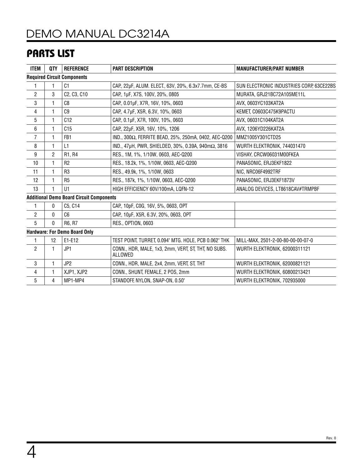## [DEMO MANUAL DC3214A](https://www.analog.com/DC3214A?doc=DC3214A.pdf)

## PARTS LIST

| <b>ITEM</b>                          | <b>QTY</b>     | <b>REFERENCE</b>                                | <b>PART DESCRIPTION</b>                                        | <b>MANUFACTURER/PART NUMBER</b>          |  |  |  |  |
|--------------------------------------|----------------|-------------------------------------------------|----------------------------------------------------------------|------------------------------------------|--|--|--|--|
| <b>Required Circuit Components</b>   |                |                                                 |                                                                |                                          |  |  |  |  |
| 1                                    |                | C <sub>1</sub>                                  | CAP., 22µF, ALUM. ELECT., 63V, 20%, 6.3x7.7mm, CE-BS           | SUN ELECTRONIC INDUSTRIES CORP, 63CE22BS |  |  |  |  |
| $\overline{c}$                       | 3              | C2, C3, C10                                     | CAP., 1µF, X7S, 100V, 20%, 0805                                | MURATA, GRJ21BC72A105ME11L               |  |  |  |  |
| 3                                    | 1              | C8                                              | CAP., 0.01µF, X7R, 16V, 10%, 0603                              | AVX, 0603YC103KAT2A                      |  |  |  |  |
| 4                                    | 1              | C <sub>9</sub>                                  | CAP., 4.7µF, X5R, 6.3V, 10%, 0603                              | KEMET, C0603C475K9PACTU                  |  |  |  |  |
| 5                                    | $\mathbf{1}$   | C12                                             | CAP., 0.1µF, X7R, 100V, 10%, 0603                              | AVX, 06031C104KAT2A                      |  |  |  |  |
| 6                                    | $\mathbf{1}$   | C15                                             | CAP., 22µF, X5R, 16V, 10%, 1206                                | AVX, 1206YD226KAT2A                      |  |  |  |  |
| $\overline{7}$                       | 1              | FB <sub>1</sub>                                 | IND., 300Ω, FERRITE BEAD, 25%, 250mA, 0402, AEC-Q200           | MMZ1005Y301CTD25                         |  |  |  |  |
| 8                                    | 1              | L1                                              | IND., 47μH, PWR, SHIELDED, 30%, 0.39A, 940mΩ, 3816             | WURTH ELEKTRONIK, 744031470              |  |  |  |  |
| 9                                    | $\overline{2}$ | R1, R4                                          | RES., 1M, 1%, 1/10W, 0603, AEC-Q200                            | VISHAY, CRCW06031M00FKEA                 |  |  |  |  |
| 10                                   | 1              | R <sub>2</sub>                                  | RES., 18.2k, 1%, 1/10W, 0603, AEC-Q200                         | PANASONIC, ERJ3EKF1822                   |  |  |  |  |
| 11                                   | 1              | R <sub>3</sub>                                  | RES., 49.9k, 1%, 1/10W, 0603                                   | NIC, NRC06F4992TRF                       |  |  |  |  |
| 12                                   | $\mathbf{1}$   | R <sub>5</sub>                                  | RES., 187k, 1%, 1/10W, 0603, AEC-Q200                          | PANASONIC, ERJ3EKF1873V                  |  |  |  |  |
| 13                                   | 1              | U1                                              | HIGH EFFICIENCY 60V/100mA, LQFN-12                             | ANALOG DEVICES, LT8618CAV#TRMPBF         |  |  |  |  |
|                                      |                | <b>Additional Demo Board Circuit Components</b> |                                                                |                                          |  |  |  |  |
| 1                                    | 0              | C5, C14                                         | CAP, 10pF, C0G, 16V, 5%, 0603, OPT                             |                                          |  |  |  |  |
| $\overline{c}$                       | 0              | C6                                              | CAP., 10µF, X5R, 6.3V, 20%, 0603, OPT                          |                                          |  |  |  |  |
| 5                                    | $\Omega$       | R6, R7                                          | RES., OPTION, 0603                                             |                                          |  |  |  |  |
| <b>Hardware: For Demo Board Only</b> |                |                                                 |                                                                |                                          |  |  |  |  |
| 1                                    | 12             | E1-E12                                          | TEST POINT, TURRET, 0.094" MTG. HOLE, PCB 0.062" THK           | MILL-MAX, 2501-2-00-80-00-00-07-0        |  |  |  |  |
| $\overline{c}$                       | 1              | JP1                                             | CONN., HDR, MALE, 1x3, 2mm, VERT, ST, THT, NO SUBS.<br>ALLOWED | WURTH ELEKTRONIK, 62000311121            |  |  |  |  |
| 3                                    | $\mathbf{1}$   | JP <sub>2</sub>                                 | CONN., HDR, MALE, 2x4, 2mm, VERT, ST, THT                      | WURTH ELEKTRONIK, 62000821121            |  |  |  |  |
| 4                                    | 1              | XJP1, XJP2                                      | CONN., SHUNT, FEMALE, 2 POS, 2mm                               | WURTH ELEKTRONIK, 60800213421            |  |  |  |  |
| 5                                    | 4              | MP1-MP4                                         | STANDOFF, NYLON, SNAP-ON, 0.50"                                | WURTH ELEKTRONIK, 702935000              |  |  |  |  |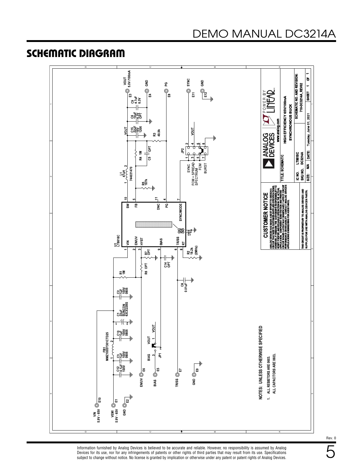#### SCHEMATIC DIAGRAM



Information furnished by Analog Devices is believed to be accurate and reliable. However, no responsibility is assumed by Analog Devices for its use, nor for any infringements of patents or other rights of third parties that may result from its use. Specifications<br>subject to change without notice. No license is granted by implication or otherwise un 5 Rev. 0